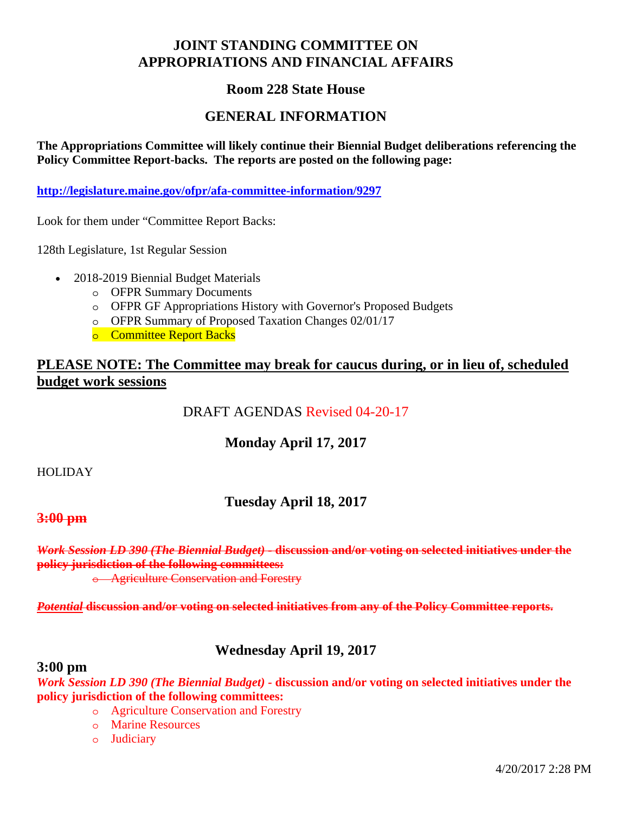# **JOINT STANDING COMMITTEE ON APPROPRIATIONS AND FINANCIAL AFFAIRS**

#### **Room 228 State House**

#### **GENERAL INFORMATION**

**The Appropriations Committee will likely continue their Biennial Budget deliberations referencing the Policy Committee Report-backs. The reports are posted on the following page:** 

**http://legislature.maine.gov/ofpr/afa-committee-information/9297**

Look for them under "Committee Report Backs:

128th Legislature, 1st Regular Session

- 2018-2019 Biennial Budget Materials
	- o OFPR Summary Documents
	- o OFPR GF Appropriations History with Governor's Proposed Budgets
	- o OFPR Summary of Proposed Taxation Changes 02/01/17
	- o Committee Report Backs

#### **PLEASE NOTE: The Committee may break for caucus during, or in lieu of, scheduled budget work sessions**

## DRAFT AGENDAS Revised 04-20-17

### **Monday April 17, 2017**

#### HOLIDAY

### **Tuesday April 18, 2017**

#### **3:00 pm**

*Work Session LD 390 (The Biennial Budget) -* **discussion and/or voting on selected initiatives under the policy jurisdiction of the following committees:** 

o Agriculture Conservation and Forestry

*Potential* **discussion and/or voting on selected initiatives from any of the Policy Committee reports.**

### **Wednesday April 19, 2017**

#### **3:00 pm**

*Work Session LD 390 (The Biennial Budget) -* **discussion and/or voting on selected initiatives under the policy jurisdiction of the following committees:** 

- o Agriculture Conservation and Forestry
- o Marine Resources
- o Judiciary